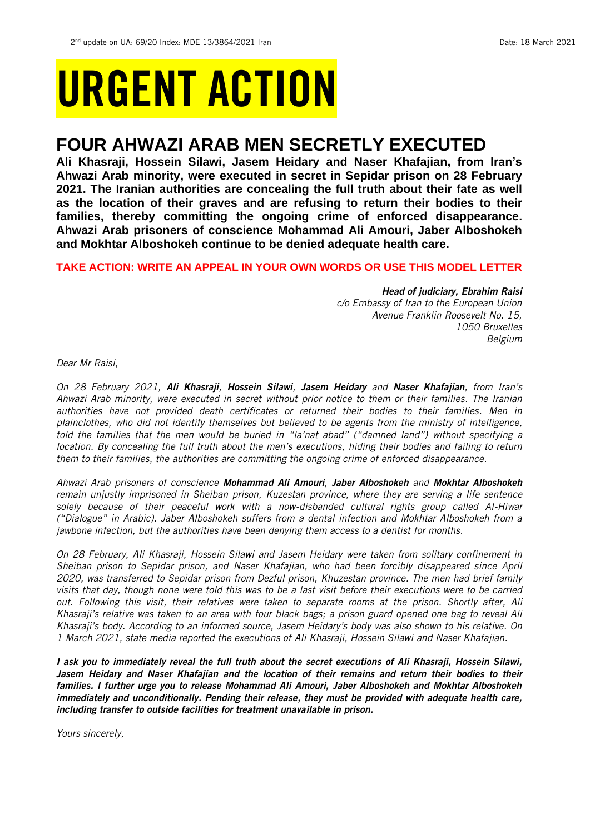# URGENT ACTION

# **FOUR AHWAZI ARAB MEN SECRETLY EXECUTED**

**Ali Khasraji, Hossein Silawi, Jasem Heidary and Naser Khafajian, from Iran's Ahwazi Arab minority, were executed in secret in Sepidar prison on 28 February 2021. The Iranian authorities are concealing the full truth about their fate as well as the location of their graves and are refusing to return their bodies to their families, thereby committing the ongoing crime of enforced disappearance. Ahwazi Arab prisoners of conscience Mohammad Ali Amouri, Jaber Alboshokeh and Mokhtar Alboshokeh continue to be denied adequate health care.** 

# **TAKE ACTION: WRITE AN APPEAL IN YOUR OWN WORDS OR USE THIS MODEL LETTER**

# *Head of judiciary, Ebrahim Raisi*

*c/o Embassy of Iran to the European Union Avenue Franklin Roosevelt No. 15, 1050 Bruxelles Belgium*

*Dear Mr Raisi,*

*On 28 February 2021, Ali Khasraji, Hossein Silawi, Jasem Heidary and Naser Khafajian, from Iran's Ahwazi Arab minority, were executed in secret without prior notice to them or their families. The Iranian authorities have not provided death certificates or returned their bodies to their families. Men in plainclothes, who did not identify themselves but believed to be agents from the ministry of intelligence, told the families that the men would be buried in "la'nat abad" ("damned land") without specifying a location. By concealing the full truth about the men's executions, hiding their bodies and failing to return them to their families, the authorities are committing the ongoing crime of enforced disappearance.* 

*Ahwazi Arab prisoners of conscience Mohammad Ali Amouri, Jaber Alboshokeh and Mokhtar Alboshokeh remain unjustly imprisoned in Sheiban prison, Kuzestan province, where they are serving a life sentence solely because of their peaceful work with a now-disbanded cultural rights group called Al-Hiwar ("Dialogue" in Arabic). Jaber Alboshokeh suffers from a dental infection and Mokhtar Alboshokeh from a jawbone infection, but the authorities have been denying them access to a dentist for months.* 

*On 28 February, Ali Khasraji, Hossein Silawi and Jasem Heidary were taken from solitary confinement in Sheiban prison to Sepidar prison, and Naser Khafajian, who had been forcibly disappeared since April 2020, was transferred to Sepidar prison from Dezful prison, Khuzestan province. The men had brief family visits that day, though none were told this was to be a last visit before their executions were to be carried out. Following this visit, their relatives were taken to separate rooms at the prison. Shortly after, Ali Khasraji's relative was taken to an area with four black bags; a prison guard opened one bag to reveal Ali Khasraji's body. According to an informed source, Jasem Heidary's body was also shown to his relative. On 1 March 2021, state media reported the executions of Ali Khasraji, Hossein Silawi and Naser Khafajian.*

*I ask you to immediately reveal the full truth about the secret executions of Ali Khasraji, Hossein Silawi, Jasem Heidary and Naser Khafajian and the location of their remains and return their bodies to their families. I further urge you to release Mohammad Ali Amouri, Jaber Alboshokeh and Mokhtar Alboshokeh*  immediately and unconditionally. Pending their release, they must be provided with adequate health care, *including transfer to outside facilities for treatment unavailable in prison.* 

*Yours sincerely,*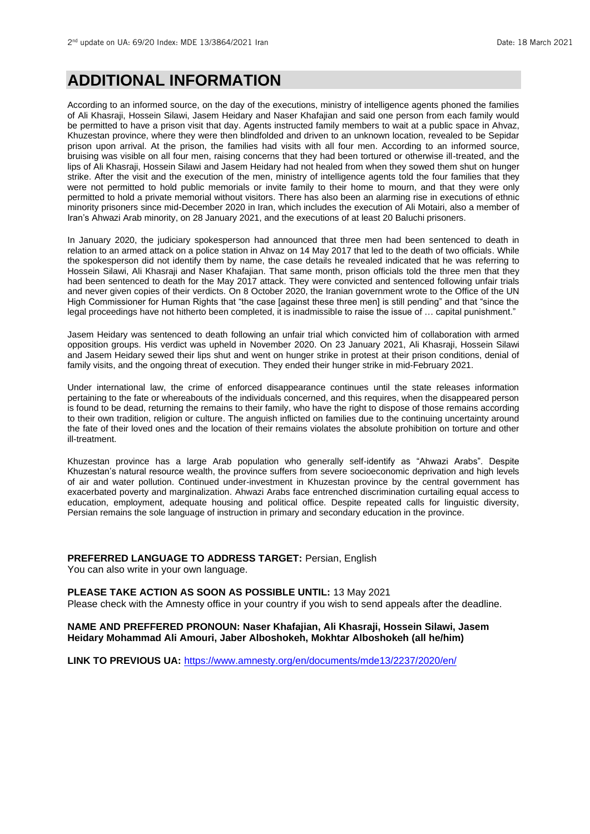# **ADDITIONAL INFORMATION**

According to an informed source, on the day of the executions, ministry of intelligence agents phoned the families of Ali Khasraji, Hossein Silawi, Jasem Heidary and Naser Khafajian and said one person from each family would be permitted to have a prison visit that day. Agents instructed family members to wait at a public space in Ahvaz, Khuzestan province, where they were then blindfolded and driven to an unknown location, revealed to be Sepidar prison upon arrival. At the prison, the families had visits with all four men. According to an informed source, bruising was visible on all four men, raising concerns that they had been tortured or otherwise ill-treated, and the lips of Ali Khasraji, Hossein Silawi and Jasem Heidary had not healed from when they sowed them shut on hunger strike. After the visit and the execution of the men, ministry of intelligence agents told the four families that they were not permitted to hold public memorials or invite family to their home to mourn, and that they were only permitted to hold a private memorial without visitors. There has also been an alarming rise in executions of ethnic minority prisoners since mid-December 2020 in Iran, which includes the execution of Ali Motairi, also a member of Iran's Ahwazi Arab minority, on 28 January 2021, and the executions of at least 20 Baluchi prisoners.

In January 2020, the judiciary spokesperson had announced that three men had been sentenced to death in relation to an armed attack on a police station in Ahvaz on 14 May 2017 that led to the death of two officials. While the spokesperson did not identify them by name, the case details he revealed indicated that he was referring to Hossein Silawi, Ali Khasraji and Naser Khafajian. That same month, prison officials told the three men that they had been sentenced to death for the May 2017 attack. They were convicted and sentenced following unfair trials and never given copies of their verdicts. On 8 October 2020, the Iranian government wrote to the Office of the UN High Commissioner for Human Rights that "the case [against these three men] is still pending" and that "since the legal proceedings have not hitherto been completed, it is inadmissible to raise the issue of … capital punishment."

Jasem Heidary was sentenced to death following an unfair trial which convicted him of collaboration with armed opposition groups. His verdict was upheld in November 2020. On 23 January 2021, Ali Khasraji, Hossein Silawi and Jasem Heidary sewed their lips shut and went on hunger strike in protest at their prison conditions, denial of family visits, and the ongoing threat of execution. They ended their hunger strike in mid-February 2021.

Under international law, the crime of enforced disappearance continues until the state releases information pertaining to the fate or whereabouts of the individuals concerned, and this requires, when the disappeared person is found to be dead, returning the remains to their family, who have the right to dispose of those remains according to their own tradition, religion or culture. The anguish inflicted on families due to the continuing uncertainty around the fate of their loved ones and the location of their remains violates the absolute prohibition on torture and other ill-treatment.

Khuzestan province has a large Arab population who generally self-identify as "Ahwazi Arabs". Despite Khuzestan's natural resource wealth, the province suffers from severe socioeconomic deprivation and high levels of air and water pollution. Continued under-investment in Khuzestan province by the central government has exacerbated poverty and marginalization. Ahwazi Arabs face entrenched discrimination curtailing equal access to education, employment, adequate housing and political office. Despite repeated calls for linguistic diversity, Persian remains the sole language of instruction in primary and secondary education in the province.

# **PREFERRED LANGUAGE TO ADDRESS TARGET:** Persian, English

You can also write in your own language.

#### **PLEASE TAKE ACTION AS SOON AS POSSIBLE UNTIL:** 13 May 2021

Please check with the Amnesty office in your country if you wish to send appeals after the deadline.

### **NAME AND PREFFERED PRONOUN: Naser Khafajian, Ali Khasraji, Hossein Silawi, Jasem Heidary Mohammad Ali Amouri, Jaber Alboshokeh, Mokhtar Alboshokeh (all he/him)**

**LINK TO PREVIOUS UA:** <https://www.amnesty.org/en/documents/mde13/2237/2020/en/>